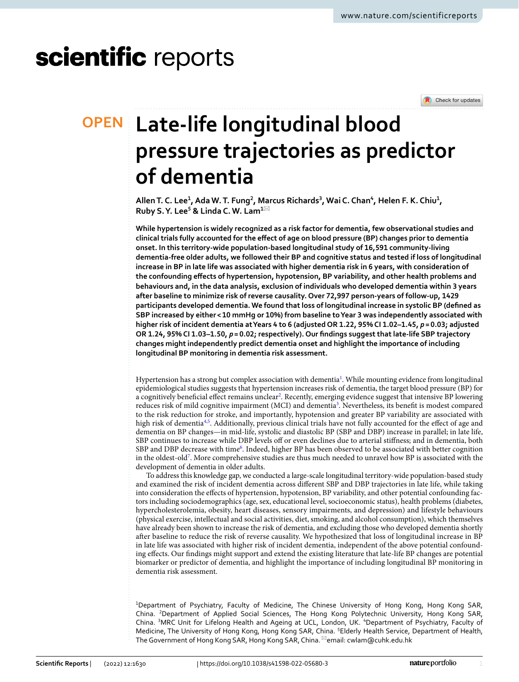# scientific reports

Check for updates

## **Late‑life longitudinal blood OPEN pressure trajectories as predictor of dementia**

**AllenT. C. Lee1 , Ada W.T. Fung2 , Marcus Richards3 , Wai C. Chan4 , Helen F. K. Chiu1 , Ruby S.Y. Lee5 & Linda C. W. Lam1**\*

**While hypertension is widely recognized as a risk factor for dementia, few observational studies and clinical trials fully accounted for the efect of age on blood pressure (BP) changes prior to dementia onset. In this territory-wide population-based longitudinal study of 16,591 community-living dementia-free older adults, we followed their BP and cognitive status and tested if loss of longitudinal increase in BP in late life was associated with higher dementia risk in 6 years, with consideration of the confounding efects of hypertension, hypotension, BP variability, and other health problems and behaviours and, in the data analysis, exclusion of individuals who developed dementia within 3 years after baseline to minimize risk of reverse causality. Over 72,997 person-years of follow-up, 1429 participants developed dementia. We found that loss of longitudinal increase in systolic BP (defned as SBP increased by either< 10 mmHg or 10%) from baseline to Year 3 was independently associated with higher risk of incident dementia at Years 4 to 6 (adjusted OR 1.22, 95% CI 1.02–1.45,** *p* **= 0.03; adjusted OR 1.24, 95% CI 1.03–1.50,** *p* **= 0.02; respectively). Our fndings suggest that late-life SBP trajectory changes might independently predict dementia onset and highlight the importance of including longitudinal BP monitoring in dementia risk assessment.**

Hypertension has a strong but complex association with dementia<sup>[1](#page-6-0)</sup>. While mounting evidence from longitudinal epidemiological studies suggests that hypertension increases risk of dementia, the target blood pressure (BP) for a cognitively beneficial effect remains unclear<sup>[2](#page-6-1)</sup>. Recently, emerging evidence suggest that intensive BP lowering reduces risk of mild cognitive impairment (MCI) and dementia<sup>[3](#page-6-2)</sup>. Nevertheless, its benefit is modest compared to the risk reduction for stroke, and importantly, hypotension and greater BP variability are associated with high risk of dementia<sup>[4,](#page-6-3)[5](#page-6-4)</sup>. Additionally, previous clinical trials have not fully accounted for the effect of age and dementia on BP changes—in mid-life, systolic and diastolic BP (SBP and DBP) increase in parallel; in late life, SBP continues to increase while DBP levels off or even declines due to arterial stiffness; and in dementia, both SBP and DBP decrease with time<sup>6</sup>. Indeed, higher BP has been observed to be associated with better cognition in the oldest-ol[d7](#page-6-6) . More comprehensive studies are thus much needed to unravel how BP is associated with the development of dementia in older adults.

To address this knowledge gap, we conducted a large-scale longitudinal territory-wide population-based study and examined the risk of incident dementia across diferent SBP and DBP trajectories in late life, while taking into consideration the efects of hypertension, hypotension, BP variability, and other potential confounding factors including sociodemographics (age, sex, educational level, socioeconomic status), health problems (diabetes, hypercholesterolemia, obesity, heart diseases, sensory impairments, and depression) and lifestyle behaviours (physical exercise, intellectual and social activities, diet, smoking, and alcohol consumption), which themselves have already been shown to increase the risk of dementia, and excluding those who developed dementia shortly afer baseline to reduce the risk of reverse causality. We hypothesized that loss of longitudinal increase in BP in late life was associated with higher risk of incident dementia, independent of the above potential confounding efects. Our fndings might support and extend the existing literature that late-life BP changes are potential biomarker or predictor of dementia, and highlight the importance of including longitudinal BP monitoring in dementia risk assessment.

<sup>1</sup>Department of Psychiatry, Faculty of Medicine, The Chinese University of Hong Kong, Hong Kong SAR, China. <sup>2</sup>Department of Applied Social Sciences, The Hong Kong Polytechnic University, Hong Kong SAR, China. <sup>3</sup>MRC Unit for Lifelong Health and Ageing at UCL, London, UK. <sup>4</sup>Department of Psychiatry, Faculty of Medicine, The University of Hong Kong, Hong Kong SAR, China. <sup>5</sup>Elderly Health Service, Department of Health, The Government of Hong Kong SAR, Hong Kong SAR, China. <sup>⊠</sup>email: cwlam@cuhk.edu.hk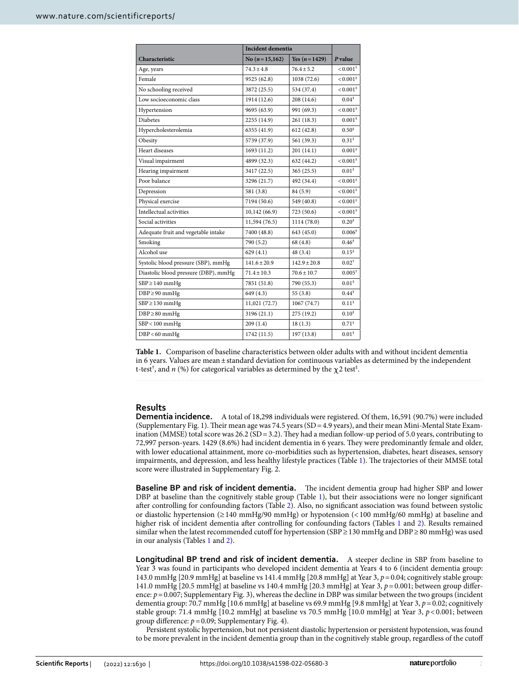|                                      | <b>Incident dementia</b> |                  |                        |
|--------------------------------------|--------------------------|------------------|------------------------|
| Characteristic                       | No $(n=15,162)$          | Yes $(n=1429)$   | P value                |
| Age, years                           | $74.3 + 4.8$             | $76.4 + 5.2$     | $< 0.001$ <sup>+</sup> |
| Female                               | 9525 (62.8)              | 1038 (72.6)      | $< 0.001$ <sup>*</sup> |
| No schooling received                | 3872 (25.5)              | 534 (37.4)       | $< 0.001$ <sup>‡</sup> |
| Low socioeconomic class              | 1914 (12.6)              | 208 (14.6)       | $0.04*$                |
| Hypertension                         | 9695 (63.9)              | 991 (69.3)       | $< 0.001$ <sup>‡</sup> |
| <b>Diabetes</b>                      | 2255 (14.9)              | 261(18.3)        | $0.001*$               |
| Hypercholesterolemia                 | 6355 (41.9)              | 612(42.8)        | $0.50*$                |
| Obesity                              | 5739 (37.9)              | 561 (39.3)       | $0.31^*$               |
| Heart diseases                       | 1693 (11.2)              | 201 (14.1)       | $0.001*$               |
| Visual impairment                    | 4899 (32.3)              | 632 (44.2)       | $< 0.001$ <sup>‡</sup> |
| Hearing impairment                   | 3417 (22.5)              | 365(25.5)        | $0.01*$                |
| Poor balance                         | 3296 (21.7)              | 492 (34.4)       | $< 0.001$ <sup>‡</sup> |
| Depression                           | 581 (3.8)                | 84 (5.9)         | $< 0.001$ <sup>‡</sup> |
| Physical exercise                    | 7194 (50.6)              | 549 (40.8)       | $< 0.001$ <sup>*</sup> |
| Intellectual activities              | 10,142 (66.9)            | 723 (50.6)       | $< 0.001$ <sup>‡</sup> |
| Social activities                    | 11,594 (76.5)            | 1114 (78.0)      | $0.20^{*}$             |
| Adequate fruit and vegetable intake  | 7400 (48.8)              | 643 (45.0)       | $0.006*$               |
| Smoking                              | 790 (5.2)                | 68 (4.8)         | $0.46*$                |
| Alcohol use                          | 629(4.1)                 | 48 (3.4)         | $0.15*$                |
| Systolic blood pressure (SBP), mmHg  | $141.6 + 20.9$           | $142.9 \pm 20.8$ | $0.02^{+}$             |
| Diastolic blood pressure (DBP), mmHg | $71.4 \pm 10.3$          | $70.6 \pm 10.7$  | $0.005^+$              |
| $SBP \ge 140$ mmHg                   | 7851 (51.8)              | 790 (55.3)       | $0.01*$                |
| $DBP \geq 90$ mmHg                   | 649 (4.3)                | 55(3.8)          | $0.44^{\ddagger}$      |
| $SBP \ge 130$ mmHg                   | 11,021 (72.7)            | 1067 (74.7)      | $0.11^*$               |
| $DBP \ge 80$ mmHg                    | 3196 (21.1)              | 275 (19.2)       | $0.10*$                |
| $SBP < 100$ mmHg                     | 209(1.4)                 | 18(1.3)          | $0.71*$                |
| $DBP < 60$ mmHg                      | 1742 (11.5)              | 197 (13.8)       | $0.01*$                |

<span id="page-1-0"></span>**Table 1.** Comparison of baseline characteristics between older adults with and without incident dementia in 6 years. Values are mean±standard deviation for continuous variables as determined by the independent t-test $^\dagger$ , and  $n$  (%) for categorical variables as determined by the  $\chi$ 2 test $^\ddagger$ .

### **Results**

**Dementia incidence.** A total of 18,298 individuals were registered. Of them, 16,591 (90.7%) were included (Supplementary Fig. 1). Teir mean age was 74.5 years (SD=4.9 years), and their mean Mini-Mental State Examination (MMSE) total score was 26.2 (SD = 3.2). They had a median follow-up period of 5.0 years, contributing to 72,997 person-years. 1429 (8.6%) had incident dementia in 6 years. Tey were predominantly female and older, with lower educational attainment, more co-morbidities such as hypertension, diabetes, heart diseases, sensory impairments, and depression, and less healthy lifestyle practices (Table [1](#page-1-0)). The trajectories of their MMSE total score were illustrated in Supplementary Fig. 2.

**Baseline BP and risk of incident dementia.** The incident dementia group had higher SBP and lower DBP at baseline than the cognitively stable group (Table [1\)](#page-1-0), but their associations were no longer signifcant afer controlling for confounding factors (Table [2\)](#page-2-0). Also, no signifcant association was found between systolic or diastolic hypertension (≥140 mmHg/90 mmHg) or hypotension (<100 mmHg/60 mmHg) at baseline and higher risk of incident dementia afer controlling for confounding factors (Tables [1](#page-1-0) and [2\)](#page-2-0). Results remained similar when the latest recommended cutof for hypertension (SBP≥130 mmHg and DBP≥80 mmHg) was used in our analysis (Tables [1](#page-1-0) and [2\)](#page-2-0).

Longitudinal BP trend and risk of incident dementia. A steeper decline in SBP from baseline to Year 3 was found in participants who developed incident dementia at Years 4 to 6 (incident dementia group: 143.0 mmHg [20.9 mmHg] at baseline vs 141.4 mmHg [20.8 mmHg] at Year 3, *p*=0.04; cognitively stable group: 141.0 mmHg [20.5 mmHg] at baseline vs 140.4 mmHg [20.3 mmHg] at Year 3, *p*=0.001; between group diference:  $p = 0.007$ ; Supplementary Fig. 3), whereas the decline in DBP was similar between the two groups (incident dementia group: 70.7 mmHg [10.6 mmHg] at baseline vs 69.9 mmHg [9.8 mmHg] at Year 3, *p*=0.02; cognitively stable group: 71.4 mmHg [10.2 mmHg] at baseline vs 70.5 mmHg [10.0 mmHg] at Year 3, *p*<0.001; between group difference:  $p = 0.09$ ; Supplementary Fig. 4).

Persistent systolic hypertension, but not persistent diastolic hypertension or persistent hypotension, was found to be more prevalent in the incident dementia group than in the cognitively stable group, regardless of the cutof

2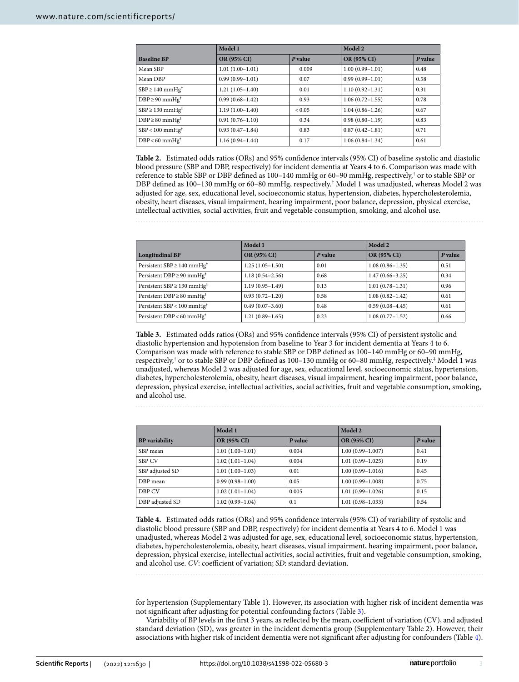|                                 | Model 1             |         | Model 2             |         |
|---------------------------------|---------------------|---------|---------------------|---------|
| <b>Baseline BP</b>              | OR (95% CI)         | P value | OR (95% CI)         | P value |
| Mean SBP                        | $1.01(1.00-1.01)$   | 0.009   | $1.00(0.99 - 1.01)$ | 0.48    |
| Mean DBP                        | $0.99(0.99 - 1.01)$ | 0.07    | $0.99(0.99 - 1.01)$ | 0.58    |
| $SBP \ge 140$ mmHg <sup>†</sup> | $1.21(1.05-1.40)$   | 0.01    | $1.10(0.92 - 1.31)$ | 0.31    |
| $DBP \geq 90$ mmHg <sup>†</sup> | $0.99(0.68 - 1.42)$ | 0.93    | $1.06(0.72 - 1.55)$ | 0.78    |
| $SBP \ge 130$ mmHg <sup>‡</sup> | $1.19(1.00-1.40)$   | < 0.05  | $1.04(0.86 - 1.26)$ | 0.67    |
| $DBP \ge 80$ mmHg <sup>‡</sup>  | $0.91(0.76 - 1.10)$ | 0.34    | $0.98(0.80-1.19)$   | 0.83    |
| $SBP < 100$ mmHg <sup>†</sup>   | $0.93(0.47 - 1.84)$ | 0.83    | $0.87(0.42 - 1.81)$ | 0.71    |
| $DBP < 60$ mmHg <sup>†</sup>    | $1.16(0.94 - 1.44)$ | 0.17    | $1.06(0.84-1.34)$   | 0.61    |

<span id="page-2-0"></span>**Table 2.** Estimated odds ratios (ORs) and 95% confdence intervals (95% CI) of baseline systolic and diastolic blood pressure (SBP and DBP, respectively) for incident dementia at Years 4 to 6. Comparison was made with reference to stable SBP or DBP defned as 100–140 mmHg or 60–90 mmHg, respectively,† or to stable SBP or DBP defned as 100–130 mmHg or 60–80 mmHg, respectively.‡ Model 1 was unadjusted, whereas Model 2 was adjusted for age, sex, educational level, socioeconomic status, hypertension, diabetes, hypercholesterolemia, obesity, heart diseases, visual impairment, hearing impairment, poor balance, depression, physical exercise, intellectual activities, social activities, fruit and vegetable consumption, smoking, and alcohol use.

**Longitudinal BP Model 1 Model 2 OR (95% CI)** *P* **value OR (95% CI)** *P* **value** Persistent SBP ≥ 140 mmHg<sup>†</sup> 1.25 (1.05–1.50) 0.01 1.08 (0.86–1.35) 0.51 Persistent DBP ≥ 90 mmHg<sup>†</sup> 1.18 (0.54–2.56) 0.68 1.47 (0.66–3.25) 0.34 Persistent SBP≥130 mmHg<sup>‡</sup> 1.19 (0.95–1.49)  $1.19 \times 10^{-1} \text{ m}$  1.01 (0.78–1.31) 0.96 Persistent DBP≥80 mmHg‡ 0.93 (0.72–1.20) 0.58 1.08 (0.82–1.42) 0.61 Persistent SBP<100 mmHg† 0.49 (0.07–3.60) 0.48 0.59 (0.08–4.45) 0.61 Persistent DBP<60 mmHg† 1.21 (0.89–1.65) 0.23 1.08 (0.77–1.52) 0.66

<span id="page-2-1"></span>**Table 3.** Estimated odds ratios (ORs) and 95% confdence intervals (95% CI) of persistent systolic and diastolic hypertension and hypotension from baseline to Year 3 for incident dementia at Years 4 to 6. Comparison was made with reference to stable SBP or DBP defned as 100–140 mmHg or 60–90 mmHg, respectively,† or to stable SBP or DBP defned as 100–130 mmHg or 60–80 mmHg, respectively.‡ Model 1 was unadjusted, whereas Model 2 was adjusted for age, sex, educational level, socioeconomic status, hypertension, diabetes, hypercholesterolemia, obesity, heart diseases, visual impairment, hearing impairment, poor balance, depression, physical exercise, intellectual activities, social activities, fruit and vegetable consumption, smoking, and alcohol use.

|                       | Model 1             |         | Model 2              |         |
|-----------------------|---------------------|---------|----------------------|---------|
| <b>BP</b> variability | <b>OR (95% CI)</b>  | P value | OR (95% CI)          | P value |
| SBP mean              | $1.01(1.00-1.01)$   | 0.004   | $1.00(0.99 - 1.007)$ | 0.41    |
| <b>SBP CV</b>         | $1.02(1.01-1.04)$   | 0.004   | $1.01(0.99 - 1.025)$ | 0.19    |
| SBP adjusted SD       | $1.01(1.00-1.03)$   | 0.01    | $1.00(0.99 - 1.016)$ | 0.45    |
| DBP mean              | $0.99(0.98 - 1.00)$ | 0.05    | $1.00(0.99 - 1.008)$ | 0.75    |
| DBP CV                | $1.02(1.01-1.04)$   | 0.005   | $1.01(0.99 - 1.026)$ | 0.15    |
| DBP adjusted SD       | $1.02(0.99 - 1.04)$ | 0.1     | $1.01(0.98 - 1.033)$ | 0.54    |

<span id="page-2-2"></span>**Table 4.** Estimated odds ratios (ORs) and 95% confdence intervals (95% CI) of variability of systolic and diastolic blood pressure (SBP and DBP, respectively) for incident dementia at Years 4 to 6. Model 1 was unadjusted, whereas Model 2 was adjusted for age, sex, educational level, socioeconomic status, hypertension, diabetes, hypercholesterolemia, obesity, heart diseases, visual impairment, hearing impairment, poor balance, depression, physical exercise, intellectual activities, social activities, fruit and vegetable consumption, smoking, and alcohol use. *CV*: coefficient of variation; *SD*: standard deviation.

for hypertension (Supplementary Table 1). However, its association with higher risk of incident dementia was not signifcant afer adjusting for potential confounding factors (Table [3\)](#page-2-1).

Variability of BP levels in the first 3 years, as reflected by the mean, coefficient of variation (CV), and adjusted standard deviation (SD), was greater in the incident dementia group (Supplementary Table 2). However, their associations with higher risk of incident dementia were not signifcant afer adjusting for confounders (Table [4](#page-2-2)).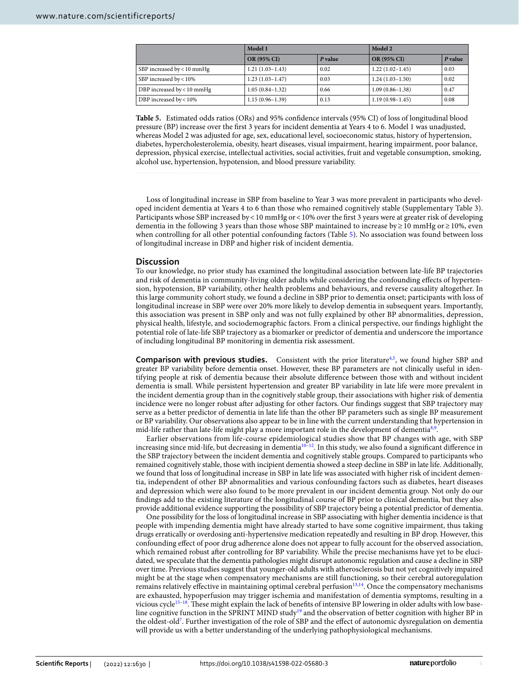|                            | Model 1             |         | Model 2             |         |
|----------------------------|---------------------|---------|---------------------|---------|
|                            | <b>OR (95% CI)</b>  | P value | <b>OR (95% CI)</b>  | P value |
| SBP increased by < 10 mmHg | $1.21(1.03-1.43)$   | 0.02    | $1.22(1.02 - 1.45)$ | 0.03    |
| SBP increased by < 10%     | $1.23(1.03-1.47)$   | 0.03    | $1.24(1.03-1.50)$   | 0.02    |
| DBP increased by < 10 mmHg | $1.05(0.84-1.32)$   | 0.66    | $1.09(0.86 - 1.38)$ | 0.47    |
| DBP increased by $< 10\%$  | $1.15(0.96 - 1.39)$ | 0.13    | $1.19(0.98 - 1.45)$ | 0.08    |

<span id="page-3-0"></span>**Table 5.** Estimated odds ratios (ORs) and 95% confdence intervals (95% CI) of loss of longitudinal blood pressure (BP) increase over the frst 3 years for incident dementia at Years 4 to 6. Model 1 was unadjusted, whereas Model 2 was adjusted for age, sex, educational level, socioeconomic status, history of hypertension, diabetes, hypercholesterolemia, obesity, heart diseases, visual impairment, hearing impairment, poor balance, depression, physical exercise, intellectual activities, social activities, fruit and vegetable consumption, smoking, alcohol use, hypertension, hypotension, and blood pressure variability.

Loss of longitudinal increase in SBP from baseline to Year 3 was more prevalent in participants who developed incident dementia at Years 4 to 6 than those who remained cognitively stable (Supplementary Table 3). Participants whose SBP increased by<10 mmHg or<10% over the frst 3 years were at greater risk of developing dementia in the following 3 years than those whose SBP maintained to increase by≥10 mmHg or≥10%, even when controlling for all other potential confounding factors (Table [5](#page-3-0)). No association was found between loss of longitudinal increase in DBP and higher risk of incident dementia.

#### **Discussion**

To our knowledge, no prior study has examined the longitudinal association between late-life BP trajectories and risk of dementia in community-living older adults while considering the confounding efects of hypertension, hypotension, BP variability, other health problems and behaviours, and reverse causality altogether. In this large community cohort study, we found a decline in SBP prior to dementia onset; participants with loss of longitudinal increase in SBP were over 20% more likely to develop dementia in subsequent years. Importantly, this association was present in SBP only and was not fully explained by other BP abnormalities, depression, physical health, lifestyle, and sociodemographic factors. From a clinical perspective, our fndings highlight the potential role of late-life SBP trajectory as a biomarker or predictor of dementia and underscore the importance of including longitudinal BP monitoring in dementia risk assessment.

**Comparison with previous studies.** Consistent with the prior literature<sup>[4](#page-6-3),[5](#page-6-4)</sup>, we found higher SBP and greater BP variability before dementia onset. However, these BP parameters are not clinically useful in identifying people at risk of dementia because their absolute diference between those with and without incident dementia is small. While persistent hypertension and greater BP variability in late life were more prevalent in the incident dementia group than in the cognitively stable group, their associations with higher risk of dementia incidence were no longer robust afer adjusting for other factors. Our fndings suggest that SBP trajectory may serve as a better predictor of dementia in late life than the other BP parameters such as single BP measurement or BP variability. Our observations also appear to be in line with the current understanding that hypertension in mid-life rather than late-life might play a more important role in the development of dementia<sup>8[,9](#page-6-8)</sup>.

Earlier observations from life-course epidemiological studies show that BP changes with age, with SBP increasing since mid-life, but decreasing in dementia $10^{-12}$  $10^{-12}$ . In this study, we also found a significant difference in the SBP trajectory between the incident dementia and cognitively stable groups. Compared to participants who remained cognitively stable, those with incipient dementia showed a steep decline in SBP in late life. Additionally, we found that loss of longitudinal increase in SBP in late life was associated with higher risk of incident dementia, independent of other BP abnormalities and various confounding factors such as diabetes, heart diseases and depression which were also found to be more prevalent in our incident dementia group. Not only do our fndings add to the existing literature of the longitudinal course of BP prior to clinical dementia, but they also provide additional evidence supporting the possibility of SBP trajectory being a potential predictor of dementia.

One possibility for the loss of longitudinal increase in SBP associating with higher dementia incidence is that people with impending dementia might have already started to have some cognitive impairment, thus taking drugs erratically or overdosing anti-hypertensive medication repeatedly and resulting in BP drop. However, this confounding efect of poor drug adherence alone does not appear to fully account for the observed association, which remained robust afer controlling for BP variability. While the precise mechanisms have yet to be elucidated, we speculate that the dementia pathologies might disrupt autonomic regulation and cause a decline in SBP over time. Previous studies suggest that younger-old adults with atherosclerosis but not yet cognitively impaired might be at the stage when compensatory mechanisms are still functioning, so their cerebral autoregulation remains relatively effective in maintaining optimal cerebral perfusion<sup>13,[14](#page-6-12)</sup>. Once the compensatory mechanisms are exhausted, hypoperfusion may trigger ischemia and manifestation of dementia symptoms, resulting in a vicious cycle<sup>[15–](#page-6-13)[18](#page-6-14)</sup>. These might explain the lack of benefits of intensive BP lowering in older adults with low baseline cognitive function in the SPRINT MIND study[19](#page-6-15) and the observation of better cognition with higher BP in the oldest-old[7](#page-6-6) . Further investigation of the role of SBP and the efect of autonomic dysregulation on dementia will provide us with a better understanding of the underlying pathophysiological mechanisms.

4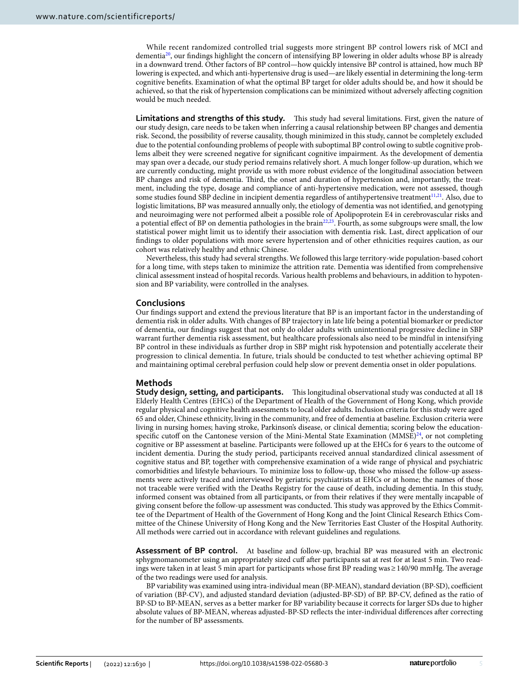While recent randomized controlled trial suggests more stringent BP control lowers risk of MCI and dementia<sup>20</sup>, our findings highlight the concern of intensifying BP lowering in older adults whose BP is already in a downward trend. Other factors of BP control—how quickly intensive BP control is attained, how much BP lowering is expected, and which anti-hypertensive drug is used—are likely essential in determining the long-term cognitive benefts. Examination of what the optimal BP target for older adults should be, and how it should be achieved, so that the risk of hypertension complications can be minimized without adversely afecting cognition would be much needed.

**Limitations and strengths of this study.** This study had several limitations. First, given the nature of our study design, care needs to be taken when inferring a causal relationship between BP changes and dementia risk. Second, the possibility of reverse causality, though minimized in this study, cannot be completely excluded due to the potential confounding problems of people with suboptimal BP control owing to subtle cognitive problems albeit they were screened negative for signifcant cognitive impairment. As the development of dementia may span over a decade, our study period remains relatively short. A much longer follow-up duration, which we are currently conducting, might provide us with more robust evidence of the longitudinal association between BP changes and risk of dementia. Third, the onset and duration of hypertension and, importantly, the treatment, including the type, dosage and compliance of anti-hypertensive medication, were not assessed, though some studies found SBP decline in incipient dementia regardless of antihypertensive treatment<sup>[11](#page-6-17),[21](#page-6-18)</sup>. Also, due to logistic limitations, BP was measured annually only, the etiology of dementia was not identifed, and genotyping and neuroimaging were not performed albeit a possible role of Apolipoprotein E4 in cerebrovascular risks and a potential effect of BP on dementia pathologies in the brain<sup>[22](#page-6-19),[23](#page-6-20)</sup>. Fourth, as some subgroups were small, the low statistical power might limit us to identify their association with dementia risk. Last, direct application of our fndings to older populations with more severe hypertension and of other ethnicities requires caution, as our cohort was relatively healthy and ethnic Chinese.

Nevertheless, this study had several strengths. We followed this large territory-wide population-based cohort for a long time, with steps taken to minimize the attrition rate. Dementia was identifed from comprehensive clinical assessment instead of hospital records. Various health problems and behaviours, in addition to hypotension and BP variability, were controlled in the analyses.

#### **Conclusions**

Our fndings support and extend the previous literature that BP is an important factor in the understanding of dementia risk in older adults. With changes of BP trajectory in late life being a potential biomarker or predictor of dementia, our fndings suggest that not only do older adults with unintentional progressive decline in SBP warrant further dementia risk assessment, but healthcare professionals also need to be mindful in intensifying BP control in these individuals as further drop in SBP might risk hypotension and potentially accelerate their progression to clinical dementia. In future, trials should be conducted to test whether achieving optimal BP and maintaining optimal cerebral perfusion could help slow or prevent dementia onset in older populations.

#### **Methods**

**Study design, setting, and participants.** This longitudinal observational study was conducted at all 18 Elderly Health Centres (EHCs) of the Department of Health of the Government of Hong Kong, which provide regular physical and cognitive health assessments to local older adults. Inclusion criteria for this study were aged 65 and older, Chinese ethnicity, living in the community, and free of dementia at baseline. Exclusion criteria were living in nursing homes; having stroke, Parkinson's disease, or clinical dementia; scoring below the educationspecific cutoff on the Cantonese version of the Mini-Mental State Examination  $(MMSE)^{24}$ , or not completing cognitive or BP assessment at baseline. Participants were followed up at the EHCs for 6 years to the outcome of incident dementia. During the study period, participants received annual standardized clinical assessment of cognitive status and BP, together with comprehensive examination of a wide range of physical and psychiatric comorbidities and lifestyle behaviours. To minimize loss to follow-up, those who missed the follow-up assessments were actively traced and interviewed by geriatric psychiatrists at EHCs or at home; the names of those not traceable were verifed with the Deaths Registry for the cause of death, including dementia. In this study, informed consent was obtained from all participants, or from their relatives if they were mentally incapable of giving consent before the follow-up assessment was conducted. Tis study was approved by the Ethics Committee of the Department of Health of the Government of Hong Kong and the Joint Clinical Research Ethics Committee of the Chinese University of Hong Kong and the New Territories East Cluster of the Hospital Authority. All methods were carried out in accordance with relevant guidelines and regulations.

**Assessment of BP control.** At baseline and follow-up, brachial BP was measured with an electronic sphygmomanometer using an appropriately sized cuf afer participants sat at rest for at least 5 min. Two readings were taken in at least 5 min apart for participants whose first BP reading was≥140/90 mmHg. The average of the two readings were used for analysis.

BP variability was examined using intra-individual mean (BP-MEAN), standard deviation (BP-SD), coefficient of variation (BP-CV), and adjusted standard deviation (adjusted-BP-SD) of BP. BP-CV, defned as the ratio of BP-SD to BP-MEAN, serves as a better marker for BP variability because it corrects for larger SDs due to higher absolute values of BP-MEAN, whereas adjusted-BP-SD refects the inter-individual diferences afer correcting for the number of BP assessments.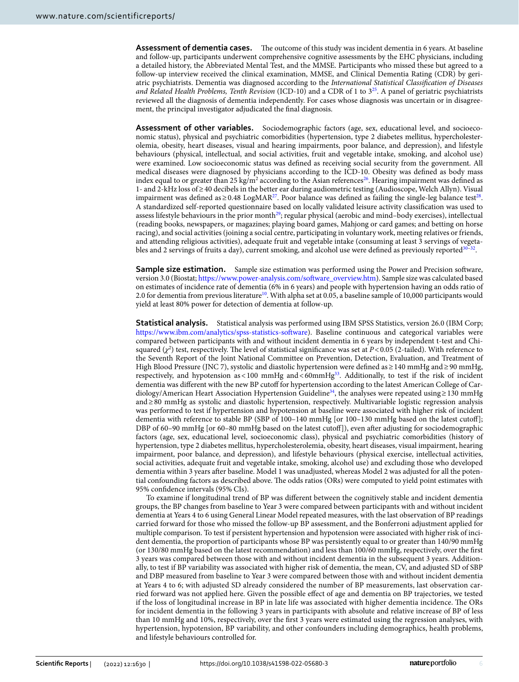Assessment of dementia cases. The outcome of this study was incident dementia in 6 years. At baseline and follow-up, participants underwent comprehensive cognitive assessments by the EHC physicians, including a detailed history, the Abbreviated Mental Test, and the MMSE. Participants who missed these but agreed to a follow-up interview received the clinical examination, MMSE, and Clinical Dementia Rating (CDR) by geriatric psychiatrists. Dementia was diagnosed according to the *International Statistical Classifcation of Diseases and Related Health Problems, Tenth Revision* (ICD-10) and a CDR of 1 to 3[25.](#page-6-22) A panel of geriatric psychiatrists reviewed all the diagnosis of dementia independently. For cases whose diagnosis was uncertain or in disagreement, the principal investigator adjudicated the fnal diagnosis.

**Assessment of other variables.** Sociodemographic factors (age, sex, educational level, and socioeconomic status), physical and psychiatric comorbidities (hypertension, type 2 diabetes mellitus, hypercholesterolemia, obesity, heart diseases, visual and hearing impairments, poor balance, and depression), and lifestyle behaviours (physical, intellectual, and social activities, fruit and vegetable intake, smoking, and alcohol use) were examined. Low socioeconomic status was defned as receiving social security from the government. All medical diseases were diagnosed by physicians according to the ICD-10. Obesity was defned as body mass index equal to or greater than 25 kg/m<sup>2</sup> according to the Asian references<sup>26</sup>. Hearing impairment was defined as 1- and 2-kHz loss of≥40 decibels in the better ear during audiometric testing (Audioscope, Welch Allyn). Visual impairment was defined as  $\geq 0.48$  LogMAR<sup>27</sup>. Poor balance was defined as failing the single-leg balance test<sup>[28](#page-6-25)</sup>. A standardized self-reported questionnaire based on locally validated leisure activity classifcation was used to assess lifestyle behaviours in the prior month<sup>29</sup>; regular physical (aerobic and mind–body exercises), intellectual (reading books, newspapers, or magazines; playing board games, Mahjong or card games; and betting on horse racing), and social activities (joining a social centre, participating in voluntary work, meeting relatives or friends, and attending religious activities), adequate fruit and vegetable intake (consuming at least 3 servings of vegetables and 2 servings of fruits a day), current smoking, and alcohol use were defined as previously reported<sup>30</sup>

**Sample size estimation.** Sample size estimation was performed using the Power and Precision software, version 3.0 (Biostat; [https://www.power-analysis.com/sofware\\_overview.htm\)](https://www.power-analysis.com/software_overview.htm). Sample size was calculated based on estimates of incidence rate of dementia (6% in 6 years) and people with hypertension having an odds ratio of 2.0 for dementia from previous literature<sup>[10](#page-6-9)</sup>. With alpha set at 0.05, a baseline sample of 10,000 participants would yield at least 80% power for detection of dementia at follow-up.

**Statistical analysis.** Statistical analysis was performed using IBM SPSS Statistics, version 26.0 (IBM Corp; [https://www.ibm.com/analytics/spss-statistics-sofware](https://www.ibm.com/analytics/spss-statistics-software)). Baseline continuous and categorical variables were compared between participants with and without incident dementia in 6 years by independent t-test and Chisquared  $(\chi^2)$  test, respectively. The level of statistical significance was set at  $P < 0.05$  (2-tailed). With reference to the Seventh Report of the Joint National Committee on Prevention, Detection, Evaluation, and Treatment of High Blood Pressure (JNC 7), systolic and diastolic hypertension were defned as≥140 mmHg and≥90 mmHg, respectively, and hypotension as <100 mmHg and <60mmHg<sup>33</sup>. Additionally, to test if the risk of incident dementia was diferent with the new BP cutof for hypertension according to the latest American College of Cardiology/American Heart Association Hypertension Guidelin[e34,](#page-6-30) the analyses were repeated using≥130 mmHg and≥80 mmHg as systolic and diastolic hypertension, respectively. Multivariable logistic regression analysis was performed to test if hypertension and hypotension at baseline were associated with higher risk of incident dementia with reference to stable BP (SBP of 100–140 mmHg [or 100–130 mmHg based on the latest cutof]; DBP of 60–90 mmHg [or 60–80 mmHg based on the latest cutof]), even afer adjusting for sociodemographic factors (age, sex, educational level, socioeconomic class), physical and psychiatric comorbidities (history of hypertension, type 2 diabetes mellitus, hypercholesterolemia, obesity, heart diseases, visual impairment, hearing impairment, poor balance, and depression), and lifestyle behaviours (physical exercise, intellectual activities, social activities, adequate fruit and vegetable intake, smoking, alcohol use) and excluding those who developed dementia within 3 years afer baseline. Model 1 was unadjusted, whereas Model 2 was adjusted for all the potential confounding factors as described above. The odds ratios (ORs) were computed to yield point estimates with 95% confdence intervals (95% CIs).

To examine if longitudinal trend of BP was diferent between the cognitively stable and incident dementia groups, the BP changes from baseline to Year 3 were compared between participants with and without incident dementia at Years 4 to 6 using General Linear Model repeated measures, with the last observation of BP readings carried forward for those who missed the follow-up BP assessment, and the Bonferroni adjustment applied for multiple comparison. To test if persistent hypertension and hypotension were associated with higher risk of incident dementia, the proportion of participants whose BP was persistently equal to or greater than 140/90 mmHg (or 130/80 mmHg based on the latest recommendation) and less than 100/60 mmHg, respectively, over the frst 3 years was compared between those with and without incident dementia in the subsequent 3 years. Additionally, to test if BP variability was associated with higher risk of dementia, the mean, CV, and adjusted SD of SBP and DBP measured from baseline to Year 3 were compared between those with and without incident dementia at Years 4 to 6; with adjusted SD already considered the number of BP measurements, last observation carried forward was not applied here. Given the possible efect of age and dementia on BP trajectories, we tested if the loss of longitudinal increase in BP in late life was associated with higher dementia incidence. The ORs for incident dementia in the following 3 years in participants with absolute and relative increase of BP of less than 10 mmHg and 10%, respectively, over the frst 3 years were estimated using the regression analyses, with hypertension, hypotension, BP variability, and other confounders including demographics, health problems, and lifestyle behaviours controlled for.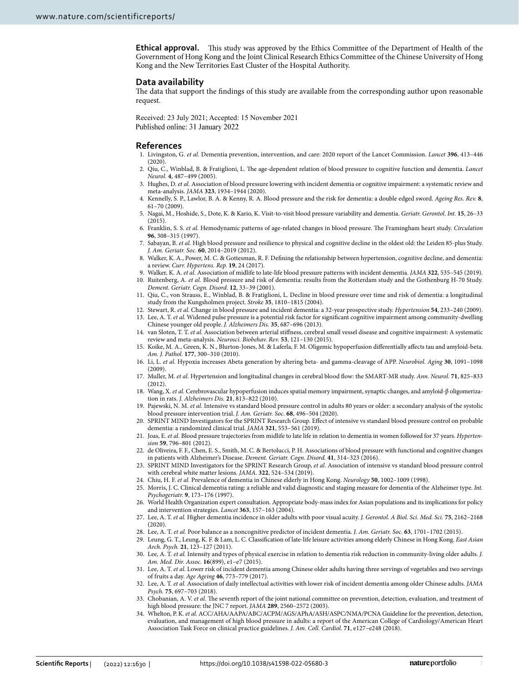**Ethical approval.** This study was approved by the Ethics Committee of the Department of Health of the Government of Hong Kong and the Joint Clinical Research Ethics Committee of the Chinese University of Hong Kong and the New Territories East Cluster of the Hospital Authority.

#### **Data availability**

The data that support the findings of this study are available from the corresponding author upon reasonable request.

Received: 23 July 2021; Accepted: 15 November 2021 Published online: 31 January 2022

#### **References**

- <span id="page-6-0"></span>1. Livingston, G. *et al.* Dementia prevention, intervention, and care: 2020 report of the Lancet Commission. *Lancet* **396**, 413–446  $(2020)$ .
- <span id="page-6-1"></span>2. Qiu, C., Winblad, B. & Fratiglioni, L. Te age-dependent relation of blood pressure to cognitive function and dementia. *Lancet Neurol.* **4**, 487–499 (2005).
- <span id="page-6-2"></span>3. Hughes, D. *et al.* Association of blood pressure lowering with incident dementia or cognitive impairment: a systematic review and meta-analysis. *JAMA* **323**, 1934–1944 (2020).
- <span id="page-6-3"></span>4. Kennelly, S. P., Lawlor, B. A. & Kenny, R. A. Blood pressure and the risk for dementia: a double edged sword. *Ageing Res. Rev.* **8**, 61–70 (2009).
- <span id="page-6-4"></span>5. Nagai, M., Hoshide, S., Dote, K. & Kario, K. Visit-to-visit blood pressure variability and dementia. *Geriatr. Gerontol. Int.* **15**, 26–33  $(2015)$
- <span id="page-6-5"></span>6. Franklin, S. S. *et al.* Hemodynamic patterns of age-related changes in blood pressure. Te Framingham heart study. *Circulation* 96, 308-315 (1997)
- <span id="page-6-6"></span>7. Sabayan, B. *et al.* High blood pressure and resilience to physical and cognitive decline in the oldest old: the Leiden 85-plus Study. *J. Am. Geriatr. Soc.* **60**, 2014–2019 (2012).
- <span id="page-6-7"></span>8. Walker, K. A., Power, M. C. & Gottesman, R. F. Defning the relationship between hypertension, cognitive decline, and dementia: a review. *Curr. Hypertens. Rep.* **19**, 24 (2017).
- <span id="page-6-8"></span>9. Walker, K. A. *et al.* Association of midlife to late-life blood pressure patterns with incident dementia. *JAMA* **322**, 535–545 (2019).
- <span id="page-6-9"></span>10. Ruitenberg, A. *et al.* Blood pressure and risk of dementia: results from the Rotterdam study and the Gothenburg H-70 Study. *Dement. Geriatr. Cogn. Disord.* **12**, 33–39 (2001).
- <span id="page-6-17"></span>11. Qiu, C., von Strauss, E., Winblad, B. & Fratiglioni, L. Decline in blood pressure over time and risk of dementia: a longitudinal study from the Kungsholmen project. *Stroke* **35**, 1810–1815 (2004).

<span id="page-6-11"></span><span id="page-6-10"></span>12. Stewart, R. *et al.* Change in blood pressure and incident dementia: a 32-year prospective study. *Hypertension* **54**, 233–240 (2009). 13. Lee, A. T. *et al.* Widened pulse pressure is a potential risk factor for signifcant cognitive impairment among community-dwelling Chinese younger old people. *J. Alzheimers Dis.* **35**, 687–696 (2013).

- <span id="page-6-12"></span>14. van Sloten, T. T. *et al.* Association between arterial stifness, cerebral small vessel disease and cognitive impairment: A systematic review and meta-analysis. *Neurosci. Biobehav. Rev.* **53**, 121–130 (2015).
- <span id="page-6-13"></span>15. Koike, M. A., Green, K. N., Blurton-Jones, M. & Laferla, F. M. Oligemic hypoperfusion diferentially afects tau and amyloid-beta. *Am. J. Pathol.* **177**, 300–310 (2010).
- 16. Li, L. *et al.* Hypoxia increases Abeta generation by altering beta- and gamma-cleavage of APP. *Neurobiol. Aging* **30**, 1091–1098 (2009).
- 17. Muller, M. *et al.* Hypertension and longitudinal changes in cerebral blood fow: the SMART-MR study. *Ann. Neurol.* **71**, 825–833 (2012).
- <span id="page-6-14"></span>18. Wang, X. *et al.* Cerebrovascular hypoperfusion induces spatial memory impairment, synaptic changes, and amyloid-β oligomerization in rats. *J. Alzheimers Dis.* **21**, 813–822 (2010).
- <span id="page-6-15"></span>19. Pajewski, N. M. *et al.* Intensive vs standard blood pressure control in adults 80 years or older: a secondary analysis of the systolic blood pressure intervention trial. *J. Am. Geriatr. Soc.* **68**, 496–504 (2020).
- <span id="page-6-16"></span>20. SPRINT MIND Investigators for the SPRINT Research Group. Efect of intensive vs standard blood pressure control on probable dementia: a randomized clinical trial. *JAMA* **321**, 553–561 (2019).
- <span id="page-6-18"></span>21. Joas, E. *et al.* Blood pressure trajectories from midlife to late life in relation to dementia in women followed for 37 years. *Hypertension* **59**, 796–801 (2012).
- <span id="page-6-19"></span>22. de Oliveira, F. F., Chen, E. S., Smith, M. C. & Bertolucci, P. H. Associations of blood pressure with functional and cognitive changes in patients with Alzheimer's Disease. *Dement. Geriatr. Cogn. Disord.* **41**, 314–323 (2016).
- <span id="page-6-20"></span>23. SPRINT MIND Investigators for the SPRINT Research Group, *et al*. Association of intensive vs standard blood pressure control with cerebral white matter lesions. *JAMA*. **322**, 524–534 (2019).
- <span id="page-6-21"></span>24. Chiu, H. F. *et al.* Prevalence of dementia in Chinese elderly in Hong Kong. *Neurology* **50**, 1002–1009 (1998).
- <span id="page-6-22"></span>25. Morris, J. C. Clinical dementia rating: a reliable and valid diagnostic and staging measure for dementia of the Alzheimer type. *Int. Psychogeriatr.* **9**, 173–176 (1997).
- <span id="page-6-23"></span>26. World Health Organization expert consultation. Appropriate body-mass index for Asian populations and its implications for policy and intervention strategies. *Lancet* **363**, 157–163 (2004).
- <span id="page-6-24"></span>27. Lee, A. T. *et al.* Higher dementia incidence in older adults with poor visual acuity. *J. Gerontol. A Biol. Sci. Med. Sci.* **75**, 2162–2168 (2020).
- <span id="page-6-25"></span>28. Lee, A. T. *et al.* Poor balance as a noncognitive predictor of incident dementia. *J. Am. Geriatr. Soc.* **63**, 1701–1702 (2015).
- <span id="page-6-26"></span>29. Leung, G. T., Leung, K. F. & Lam, L. C. Classifcation of late-life leisure activities among elderly Chinese in Hong Kong. *East Asian Arch. Psych.* **21**, 123–127 (2011).
- <span id="page-6-27"></span>30. Lee, A. T. *et al.* Intensity and types of physical exercise in relation to dementia risk reduction in community-living older adults. *J. Am. Med. Dir. Assoc.* **16**(899), e1–e7 (2015).
- 31. Lee, A. T. *et al.* Lower risk of incident dementia among Chinese older adults having three servings of vegetables and two servings of fruits a day. *Age Ageing* **46**, 773–779 (2017).
- <span id="page-6-28"></span>32. Lee, A. T. *et al.* Association of daily intellectual activities with lower risk of incident dementia among older Chinese adults. *JAMA Psych.* **75**, 697–703 (2018).
- <span id="page-6-29"></span>33. Chobanian, A. V. et al. The seventh report of the joint national committee on prevention, detection, evaluation, and treatment of high blood pressure: the JNC 7 report. *JAMA* **289**, 2560–2572 (2003).
- <span id="page-6-30"></span>34. Whelton, P. K. *et al.* ACC/AHA/AAPA/ABC/ACPM/AGS/APhA/ASH/ASPC/NMA/PCNA Guideline for the prevention, detection, evaluation, and management of high blood pressure in adults: a report of the American College of Cardiology/American Heart Association Task Force on clinical practice guidelines. *J. Am. Coll. Cardiol.* **71**, e127–e248 (2018).

7